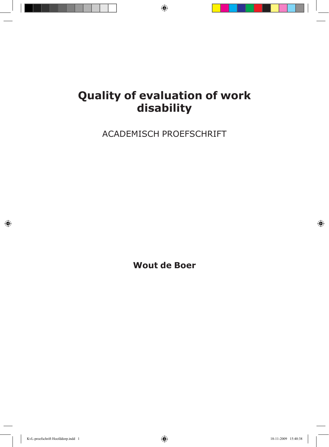# **Quality of evaluation of work disability**

ACADEMISCH PROEFSCHRIFT

**Wout de Boer**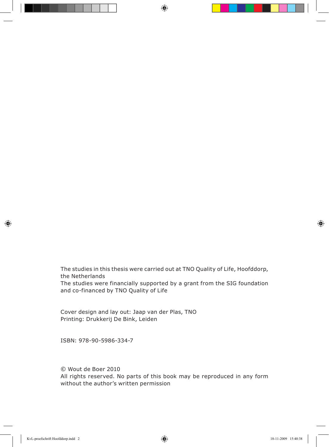The studies in this thesis were carried out at TNO Quality of Life, Hoofddorp, the Netherlands The studies were financially supported by a grant from the SIG foundation and co-financed by TNO Quality of Life

Cover design and lay out: Jaap van der Plas, TNO Printing: Drukkerij De Bink, Leiden

ISBN: 978-90-5986-334-7

© Wout de Boer 2010

All rights reserved. No parts of this book may be reproduced in any form without the author's written permission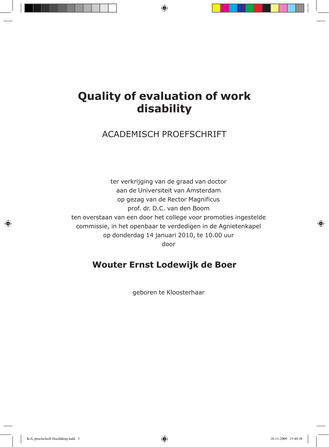## **Quality of evaluation of work disability**

### ACADEMISCH PROEFSCHRIFT

ter verkrijging van de graad van doctor aan de Universiteit van Amsterdam op gezag van de Rector Magnificus prof. dr. D.C. van den Boom ten overstaan van een door het college voor promoties ingestelde commissie, in het openbaar te verdedigen in de Agnietenkapel op donderdag 14 januari 2010, te 10.00 uur door

### **Wouter Ernst Lodewijk de Boer**

geboren te Kloosterhaar